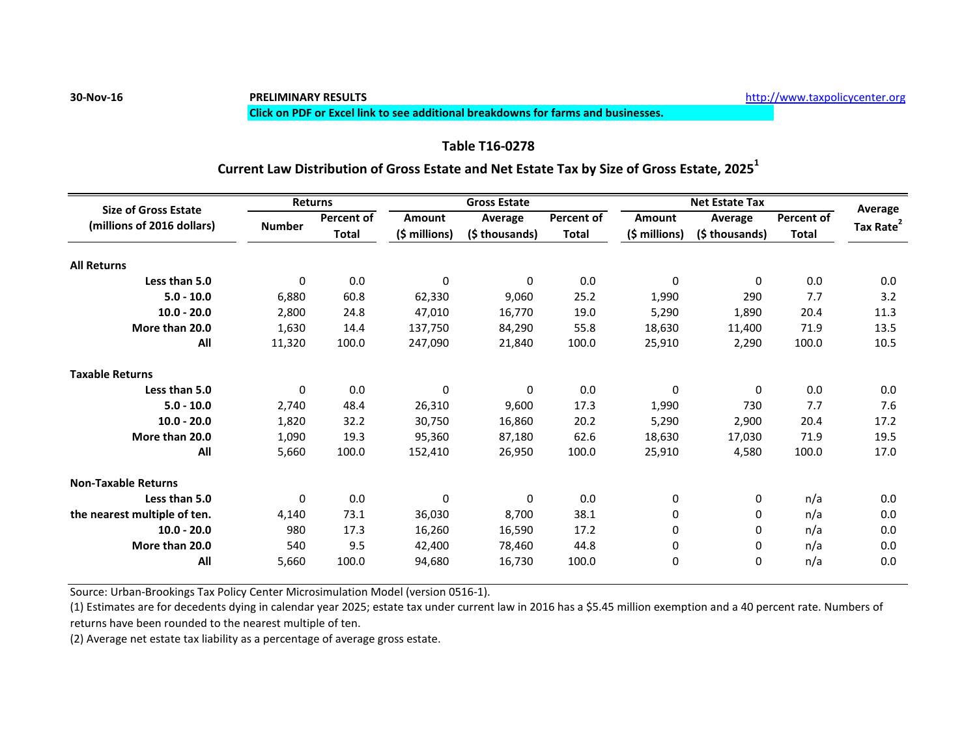# **30-Nov-16 PRELIMINARY RESULTS** [h](http://www.taxpolicycenter.org/)ttp://www.taxpolicycenter.org

### **Click on PDF or Excel link to see additional breakdowns for farms and businesses.**

## **Table T16-0278**

## **Current Law Distribution of Gross Estate and Net Estate Tax by Size of Gross Estate, 2025<sup>1</sup>**

| <b>Gross Estate</b><br>Returns<br><b>Size of Gross Estate</b>                   | Net Estate Tax<br>Average                                                |
|---------------------------------------------------------------------------------|--------------------------------------------------------------------------|
| <b>Percent of</b><br><b>Percent of</b><br>Amount<br>Average<br><b>Number</b>    | <b>Percent of</b><br>Amount<br>Average                                   |
| (millions of 2016 dollars)<br>(\$ millions)<br>(\$ thousands)<br>Total<br>Total | Tax Rate <sup>2</sup><br>(\$ millions)<br>(\$ thousands)<br><b>Total</b> |
| <b>All Returns</b>                                                              |                                                                          |
| 0.0<br>Less than 5.0<br>$\Omega$<br>$\Omega$                                    | 0.0<br>0.0<br>$\Omega$<br>$\mathbf 0$                                    |
| 60.8<br>25.2<br>$5.0 - 10.0$<br>6,880<br>62,330<br>9,060                        | 290<br>7.7<br>3.2<br>1,990                                               |
| $10.0 - 20.0$<br>2,800<br>24.8<br>16,770<br>19.0<br>47,010                      | 1,890<br>20.4<br>11.3<br>5,290                                           |
| 84,290<br>55.8<br>More than 20.0<br>1,630<br>14.4<br>137,750                    | 13.5<br>71.9<br>18,630<br>11,400                                         |
| 100.0<br>11,320<br>21,840<br>100.0<br>All<br>247,090                            | 10.5<br>100.0<br>25,910<br>2,290                                         |
| <b>Taxable Returns</b>                                                          |                                                                          |
| 0.0<br>Less than 5.0<br>$\overline{0}$<br>$\Omega$                              | 0.0<br>0.0<br>$\Omega$<br>$\mathbf 0$                                    |
| 2,740                                                                           | 7.6                                                                      |
| 48.4<br>$5.0 - 10.0$<br>9,600<br>17.3<br>26,310                                 | 730<br>7.7<br>1,990                                                      |
| 32.2<br>20.2<br>$10.0 - 20.0$<br>1,820<br>30,750<br>16,860                      | 17.2<br>5,290<br>2,900<br>20.4                                           |
| More than 20.0<br>1,090<br>19.3<br>62.6<br>95,360<br>87,180                     | 19.5<br>71.9<br>18,630<br>17,030                                         |
| 100.0<br>5,660<br>100.0<br>All<br>152,410<br>26,950                             | 17.0<br>4,580<br>100.0<br>25,910                                         |
| <b>Non-Taxable Returns</b>                                                      |                                                                          |
| 0.0<br>Less than 5.0<br>$\Omega$<br>- 0<br>$\Omega$                             | 0.0<br>n/a                                                               |
| the nearest multiple of ten.<br>73.1<br>38.1<br>4,140<br>8,700<br>36,030        | 0.0<br>n/a                                                               |
| 17.3<br>17.2<br>$10.0 - 20.0$<br>980<br>16,260<br>16,590                        | 0.0<br>n/a                                                               |
| More than 20.0<br>540<br>9.5<br>78,460<br>44.8<br>42,400                        | 0.0<br>n/a                                                               |
| 5,660<br>100.0<br>16,730<br>100.0                                               |                                                                          |

Source: Urban-Brookings Tax Policy Center Microsimulation Model (version 0516-1).

(1) Estimates are for decedents dying in calendar year 2025; estate tax under current law in 2016 has a \$5.45 million exemption and a 40 percent rate. Numbers of returns have been rounded to the nearest multiple of ten.

(2) Average net estate tax liability as a percentage of average gross estate.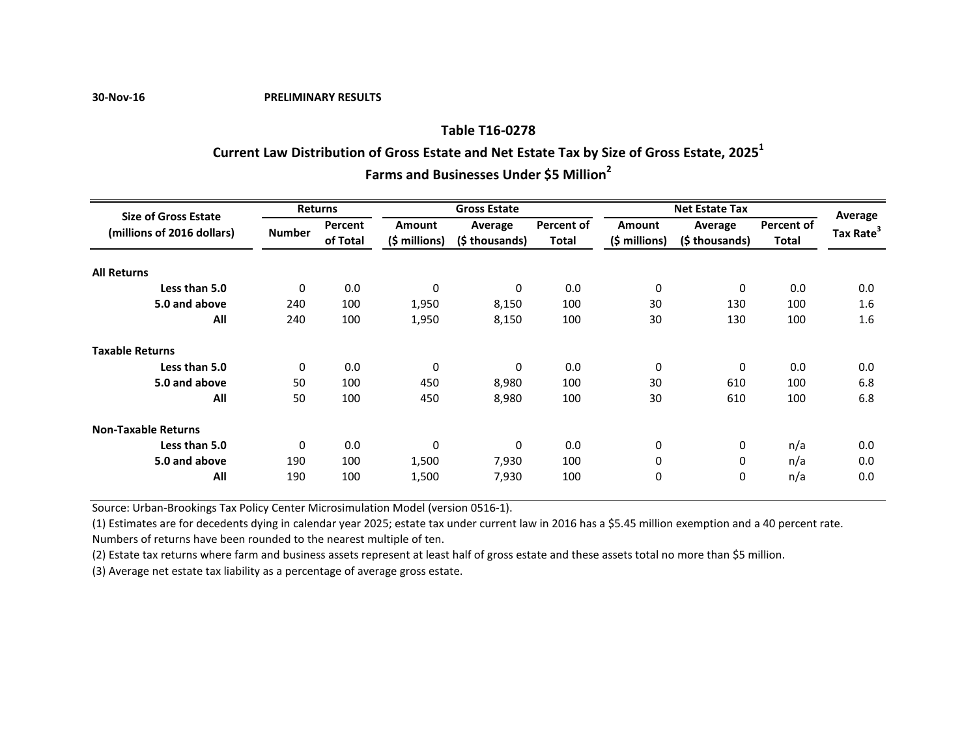**30-Nov-16 PRELIMINARY RESULTS**

## **Farms and Businesses Under \$5 Million<sup>2</sup> Table T16-0278 Current Law Distribution of Gross Estate and Net Estate Tax by Size of Gross Estate, 2025<sup>1</sup>**

| <b>Size of Gross Estate</b> | <b>Returns</b> |          |                | <b>Gross Estate</b> |              |               | Average       |                   |                       |  |
|-----------------------------|----------------|----------|----------------|---------------------|--------------|---------------|---------------|-------------------|-----------------------|--|
| (millions of 2016 dollars)  |                | Percent  | <b>Amount</b>  | Average             | Percent of   | <b>Amount</b> | Average       | <b>Percent of</b> |                       |  |
|                             | <b>Number</b>  | of Total | $(5 millions)$ | (\$ thousands)      | <b>Total</b> | (\$ millions) | (\$thousands) | Total             | Tax Rate <sup>3</sup> |  |
| <b>All Returns</b>          |                |          |                |                     |              |               |               |                   |                       |  |
| Less than 5.0               | $\mathbf{0}$   | 0.0      | 0              | 0                   | 0.0          | $\mathbf 0$   | 0             | 0.0               | 0.0                   |  |
| 5.0 and above               | 240            | 100      | 1,950          | 8,150               | 100          | 30            | 130           | 100               | 1.6                   |  |
| All                         | 240            | 100      | 1,950          | 8,150               | 100          | 30            | 130           | 100               | 1.6                   |  |
| <b>Taxable Returns</b>      |                |          |                |                     |              |               |               |                   |                       |  |
| Less than 5.0               | $\Omega$       | 0.0      | 0              | 0                   | 0.0          | $\mathbf 0$   | 0             | 0.0               | 0.0                   |  |
| 5.0 and above               | 50             | 100      | 450            | 8,980               | 100          | 30            | 610           | 100               | 6.8                   |  |
| All                         | 50             | 100      | 450            | 8,980               | 100          | 30            | 610           | 100               | 6.8                   |  |
| <b>Non-Taxable Returns</b>  |                |          |                |                     |              |               |               |                   |                       |  |
| Less than 5.0               | $\Omega$       | 0.0      | $\mathbf 0$    | 0                   | 0.0          | 0             | 0             | n/a               | 0.0                   |  |
| 5.0 and above               | 190            | 100      | 1,500          | 7,930               | 100          | $\mathbf 0$   | 0             | n/a               | 0.0                   |  |
| All                         | 190            | 100      | 1,500          | 7,930               | 100          | $\mathbf 0$   | 0             | n/a               | 0.0                   |  |

Source: Urban-Brookings Tax Policy Center Microsimulation Model (version 0516-1).

(1) Estimates are for decedents dying in calendar year 2025; estate tax under current law in 2016 has a \$5.45 million exemption and a 40 percent rate. Numbers of returns have been rounded to the nearest multiple of ten.

(2) Estate tax returns where farm and business assets represent at least half of gross estate and these assets total no more than \$5 million.

(3) Average net estate tax liability as a percentage of average gross estate.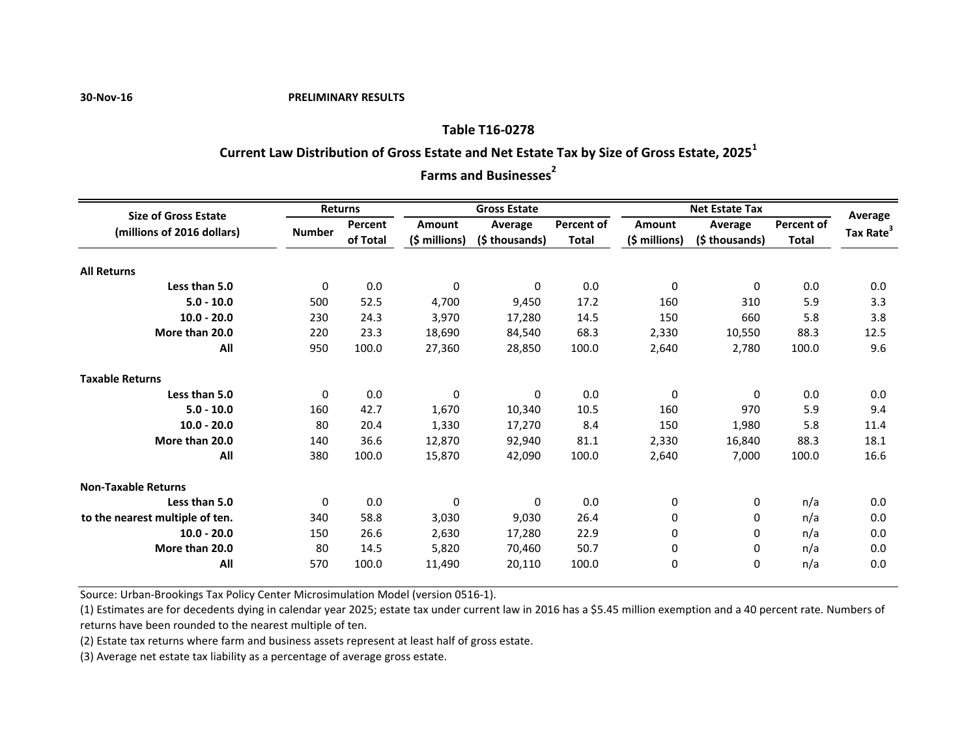#### **30-Nov-16 PRELIMINARY RESULTS**

# **Table T16-0278 Current Law Distribution of Gross Estate and Net Estate Tax by Size of Gross Estate, 2025<sup>1</sup>**

**Farms and Businesses<sup>2</sup>** 

| <b>Returns</b><br><b>Gross Estate</b><br><b>Net Estate Tax</b><br><b>Size of Gross Estate</b>                         | Average                                    |
|-----------------------------------------------------------------------------------------------------------------------|--------------------------------------------|
| <b>Percent of</b><br>Amount<br>Percent<br>Amount<br>Average<br>Average<br>(millions of 2016 dollars)<br><b>Number</b> | <b>Percent of</b><br>Tax Rate <sup>3</sup> |
| (\$ millions)<br>$(\xi millions)$<br>of Total<br><b>Total</b><br>(\$ thousands)<br>(\$ thousands)                     | <b>Total</b>                               |
| <b>All Returns</b>                                                                                                    |                                            |
| 0.0<br>0.0<br>Less than 5.0<br>$\mathbf 0$<br>$\mathbf 0$<br>$\Omega$<br>$\Omega$                                     | 0.0<br>0.0                                 |
| 52.5<br>17.2<br>$5.0 - 10.0$<br>500<br>4,700<br>160<br>9,450<br>310                                                   | 5.9<br>3.3                                 |
| 230<br>660<br>24.3<br>$10.0 - 20.0$<br>3,970<br>150<br>17,280<br>14.5                                                 | 3.8<br>5.8                                 |
| More than 20.0<br>220<br>23.3<br>68.3<br>2,330<br>10,550<br>18,690<br>84,540                                          | 12.5<br>88.3                               |
| 950<br>100.0<br>2,780<br>All<br>27,360<br>100.0<br>28,850<br>2,640                                                    | 9.6<br>100.0                               |
| <b>Taxable Returns</b>                                                                                                |                                            |
| 0.0<br>Less than 5.0<br>0.0<br>$\Omega$<br>$\mathbf{0}$<br>$\mathbf{0}$<br>$\Omega$                                   | 0.0<br>0.0                                 |
| 160<br>42.7<br>$5.0 - 10.0$<br>1,670<br>10.5<br>160<br>970<br>10,340                                                  | 9.4<br>5.9                                 |
| $10.0 - 20.0$<br>80<br>20.4<br>150<br>1,980<br>1,330<br>17,270<br>8.4                                                 | 11.4<br>5.8                                |
| 36.6<br>More than 20.0<br>16,840<br>140<br>12,870<br>92,940<br>81.1<br>2,330                                          | 18.1<br>88.3                               |
| 380<br>100.0<br>All<br>100.0<br>7,000<br>15,870<br>42,090<br>2,640                                                    | 16.6<br>100.0                              |
| <b>Non-Taxable Returns</b>                                                                                            |                                            |
| 0.0<br>0.0<br>Less than 5.0<br>0<br>0<br>$\Omega$                                                                     | 0.0<br>n/a                                 |
| to the nearest multiple of ten.<br>58.8<br>26.4<br>340<br>3,030<br>9,030<br>0                                         | 0.0<br>n/a                                 |
| 26.6<br>22.9<br>$10.0 - 20.0$<br>2,630<br>150<br>17,280                                                               | 0.0<br>n/a                                 |
| More than 20.0<br>80<br>14.5<br>50.7<br>5,820<br>70,460<br>0<br>0                                                     | 0.0<br>n/a                                 |
|                                                                                                                       |                                            |

Source: Urban-Brookings Tax Policy Center Microsimulation Model (version 0516-1).

(1) Estimates are for decedents dying in calendar year 2025; estate tax under current law in 2016 has a \$5.45 million exemption and a 40 percent rate. Numbers of returns have been rounded to the nearest multiple of ten.

(2) Estate tax returns where farm and business assets represent at least half of gross estate.

(3) Average net estate tax liability as a percentage of average gross estate.